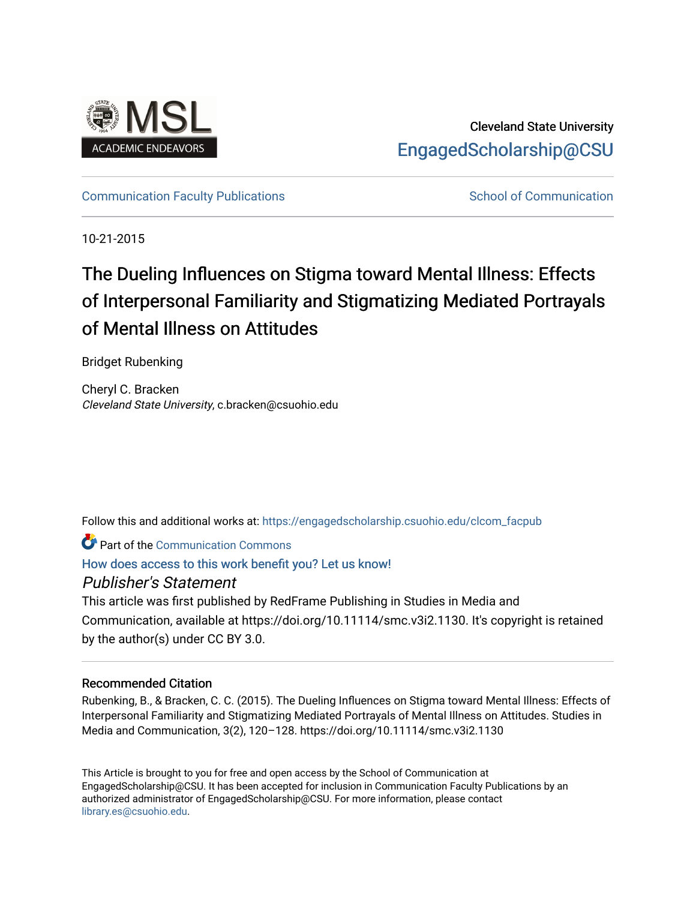

Cleveland State University [EngagedScholarship@CSU](https://engagedscholarship.csuohio.edu/) 

[Communication Faculty Publications](https://engagedscholarship.csuohio.edu/clcom_facpub) [School of Communication](https://engagedscholarship.csuohio.edu/clcom) School of Communication

10-21-2015

# The Dueling Influences on Stigma toward Mental Illness: Effects of Interpersonal Familiarity and Stigmatizing Mediated Portrayals of Mental Illness on Attitudes

Bridget Rubenking

Cheryl C. Bracken Cleveland State University, c.bracken@csuohio.edu

Follow this and additional works at: [https://engagedscholarship.csuohio.edu/clcom\\_facpub](https://engagedscholarship.csuohio.edu/clcom_facpub?utm_source=engagedscholarship.csuohio.edu%2Fclcom_facpub%2F44&utm_medium=PDF&utm_campaign=PDFCoverPages) 

Part of the [Communication Commons](http://network.bepress.com/hgg/discipline/325?utm_source=engagedscholarship.csuohio.edu%2Fclcom_facpub%2F44&utm_medium=PDF&utm_campaign=PDFCoverPages) 

[How does access to this work benefit you? Let us know!](http://library.csuohio.edu/engaged/)

## Publisher's Statement

This article was first published by RedFrame Publishing in Studies in Media and Communication, available at https://doi.org/10.11114/smc.v3i2.1130. It's copyright is retained by the author(s) under CC BY 3.0.

### Recommended Citation

Rubenking, B., & Bracken, C. C. (2015). The Dueling Influences on Stigma toward Mental Illness: Effects of Interpersonal Familiarity and Stigmatizing Mediated Portrayals of Mental Illness on Attitudes. Studies in Media and Communication, 3(2), 120–128. https://doi.org/10.11114/smc.v3i2.1130

This Article is brought to you for free and open access by the School of Communication at EngagedScholarship@CSU. It has been accepted for inclusion in Communication Faculty Publications by an authorized administrator of EngagedScholarship@CSU. For more information, please contact [library.es@csuohio.edu.](mailto:library.es@csuohio.edu)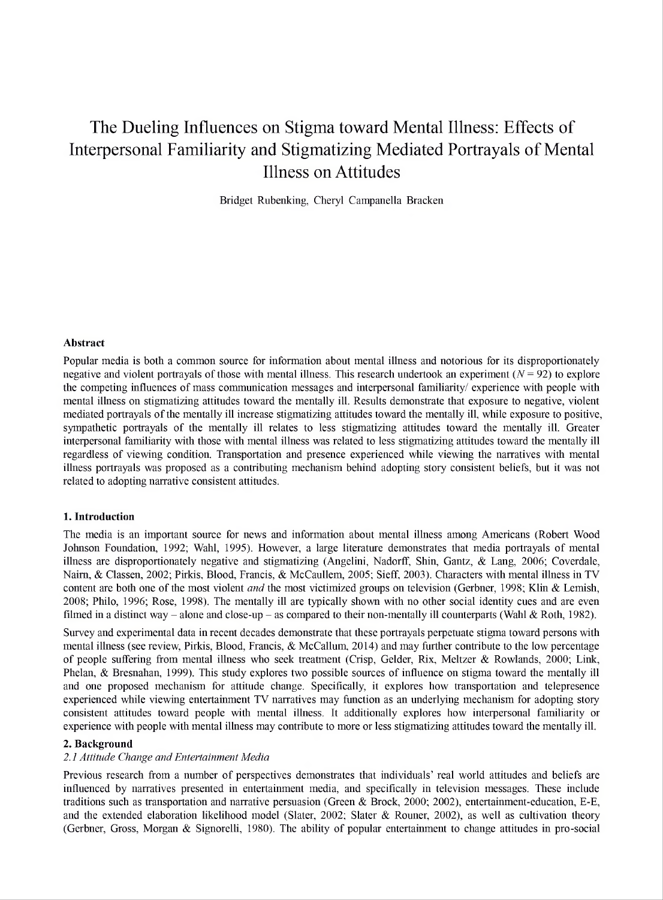# The Dueling Influences on Stigma toward Mental Illness: Effects of Interpersonal Familiarity and Stigmatizing Mediated Portrayals of Mental Illness on Attitudes

Bridget Rubenking, Cheryl Campanella Bracken

#### **Abstract**

Popular media is both a common source for information about mental illness and notorious for its disproportionately negative and violent portrayals of those with mental illness. This research undertook an experiment  $(N = 92)$  to explore the competing influences of mass communication messages and interpersonal familiarity/ experience with people with mental illness on stigmatizing attitudes toward the mentally ill. Results demonstrate that exposure to negative, violent mediated portrayals ofthe mentally ill increase stigmatizing attitudes toward the mentally ill, while exposure to positive, sympathetic portrayals of the mentally ill relates to less stigmatizing attitudes toward the mentally ill. Greater interpersonal familiarity with those with mental illness was related to less stigmatizing attitudes toward the mentally ill regardless of viewing condition. Transportation and presence experienced while viewing the narratives with mental illness portrayals was proposed as a contributing mechanism behind adopting story consistent beliefs, but it was not related to adopting narrative consistent attitudes.

#### **1. Introduction**

The media is an important source for news and information about mental illness among Americans (Robert Wood Johnson Foundation, 1992; Wahl, 1995). However, a large literature demonstrates that media portrayals of mental illness are disproportionately negative and stigmatizing (Angelini, Nadorff, Shin, Gantz, & Lang, 2006; Coverdale, Naim, & Classen, 2002; Pirkis, Blood, Francis, & McCaullem, 2005; Sieff, 2003). Characters with mental illness in TV content are both one of the most violent *and* the most victimized groups on television (Gerbner, 1998; Klin & Lemish, 2008; Philo, 1996; Rose, 1998). The mentally ill are typically shown with no other social identity cues and are even filmed in a distinct way – alone and close-up – as compared to their non-mentally ill counterparts (Wahl & Roth, 1982).

Survey and experimental data in recent decades demonstrate that these portrayals perpetuate stigma toward persons with mental illness (see review, Pirkis, Blood, Francis, & McCallum, 2014) and may further contribute to the low percentage of people suffering from mental illness who seek treatment (Crisp, Gelder, Rix, Meltzer & Rowlands, 2000; Link, Phelan, & Bresnahan, 1999). This study explores two possible sources of influence on stigma toward the mentally ill and one proposed mechanism for attitude change. Specifically, it explores how transportation and telepresence experienced while viewing entertainment TV narratives may function as an underlying mechanism for adopting story consistent attitudes toward people with mental illness. It additionally explores how interpersonal familiarity or experience with people with mental illness may contribute to more or less stigmatizing attitudes toward the mentally ill.

#### **2. Background**

#### *2.1 Attitude Change and Entertainment Media*

Previous research from a number of perspectives demonstrates that individuals' real world attitudes and beliefs are influenced by narratives presented in entertainment media, and specifically in television messages. These include traditions such as transportation and narrative persuasion (Green & Brock, 2000; 2002), entertainment-education, E-E, and the extended elaboration likelihood model (Slater, 2002; Slater & Rouner, 2002), as well as cultivation theory (Gerbner, Gross, Morgan & Signorelli, 1980). The ability of popular entertainment to change attitudes in pro-social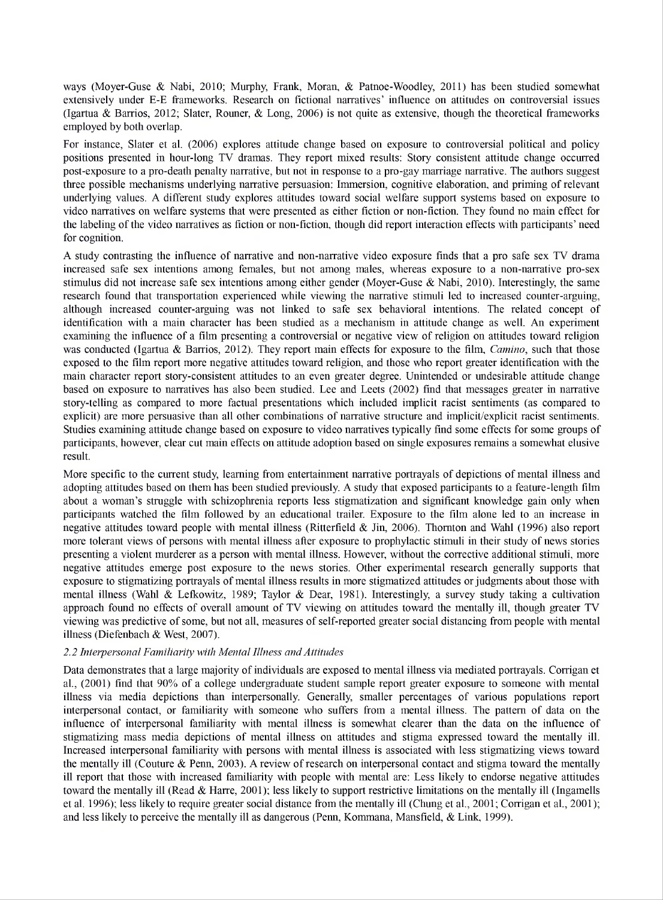ways (Moyer-Guse & Nabi, 2010; Murphy, Frank, Moran, & Patnoe-Woodley, 2011) has been studied somewhat extensively under E-E frameworks. Research on fictional narratives' influence on attitudes on controversial issues (Igartua & Barrios, 2012; Slater, Rouner, & Long, 2006) is not quite as extensive, though the theoretical frameworks employed by both overlap.

For instance, Slater et al. (2006) explores attitude change based on exposure to controversial political and policy positions presented in hour-long TV dramas. They report mixed results: Story consistent attitude change occurred post-exposure to a pro-death penalty narrative, but not in response to a pro-gay marriage narrative. The authors suggest three possible mechanisms underlying narrative persuasion: Immersion, cognitive elaboration, and priming of relevant underlying values. A different study explores attitudes toward social welfare support systems based on exposure to video narratives on welfare systems that were presented as either fiction or non-fiction. They found no main effect for the labeling ofthe video narratives as fiction or non-fiction, though did report interaction effects with participants' need for cognition.

A study contrasting the influence of narrative and non-narrative video exposure finds that a pro safe sex TV drama increased safe sex intentions among females, but not among males, whereas exposure to a non-narrative pro-sex stimulus did not increase safe sex intentions among either gender (Moyer-Guse & Nabi, 2010). Interestingly, the same research found that transportation experienced while viewing the narrative stimuli led to increased counter-arguing, although increased counter-arguing was not linked to safe sex behavioral intentions. The related concept of identification with a main character has been studied as a mechanism in attitude change as well. An experiment examining the influence of a film presenting a controversial or negative view of religion on attitudes toward religion was conducted (Igartua & Barrios, 2012). They report main effects for exposure to the film, *Camino,* such that those exposed to the film report more negative attitudes toward religion, and those who report greater identification with the main character report story-consistent attitudes to an even greater degree. Unintended or undesirable attitude change based on exposure to narratives has also been studied. Lee and Leets (2002) find that messages greater in narrative story-telling as compared to more factual presentations which included implicit racist sentiments (as compared to explicit) are more persuasive than all other combinations of narrative structure and implicit/explicit racist sentiments. Studies examining attitude change based on exposure to video narratives typically find some effects for some groups of participants, however, clear cut main effects on attitude adoption based on single exposures remains a somewhat elusive result.

More specific to the current study, learning from entertainment narrative portrayals of depictions of mental illness and adopting attitudes based on them has been studied previously. A study that exposed participants to a feature-length film about a woman's struggle with schizophrenia reports less stigmatization and significant knowledge gain only when participants watched the film followed by an educational trailer. Exposure to the film alone led to an increase in negative attitudes toward people with mental illness (Ritterfield & Jin, 2006). Thornton and Wahl (1996) also report more tolerant views of persons with mental illness after exposure to prophylactic stimuli in their study of news stories presenting a violent murderer as a person with mental illness. However, without the corrective additional stimuli, more negative attitudes emerge post exposure to the news stories. Other experimental research generally supports that exposure to stigmatizing portrayals of mental illness results in more stigmatized attitudes or judgments about those with mental illness (Wahl & Lefkowitz, 1989; Taylor & Dear, 1981). Interestingly, a survey study taking a cultivation approach found no effects of overall amount of TV viewing on attitudes toward the mentally ill, though greater TV viewing was predictive ofsome, but not all, measures ofself-reported greater social distancing from people with mental illness (Diefenbach & West, 2007).

#### *2.2 Interpersonal Familiarity with Mental Illness andAttitudes*

Data demonstrates that a large majority of individuals are exposed to mental illness via mediated portrayals. Corrigan et al., (2001) find that 90% of a college undergraduate student sample report greater exposure to someone with mental illness via media depictions than interpersonally. Generally, smaller percentages of various populations report interpersonal contact, or familiarity with someone who suffers from a mental illness. The pattern of data on the influence of interpersonal familiarity with mental illness is somewhat clearer than the data on the influence of stigmatizing mass media depictions of mental illness on attitudes and stigma expressed toward the mentally ill. Increased interpersonal familiarity with persons with mental illness is associated with less stigmatizing views toward the mentally ill (Couture & Penn, 2003). A review of research on interpersonal contact and stigma toward the mentally ill report that those with increased familiarity with people with mental are: Less likely to endorse negative attitudes toward the mentally ill (Read & Harre, 2001); less likely to support restrictive limitations on the mentally ill (Ingamells et al. 1996); less likely to require greater social distance from the mentally ill (Chung et al., 2001; Corrigan et al., 2001); and less likely to perceive the mentally ill as dangerous (Penn, Kommana, Mansfield, & Link, 1999).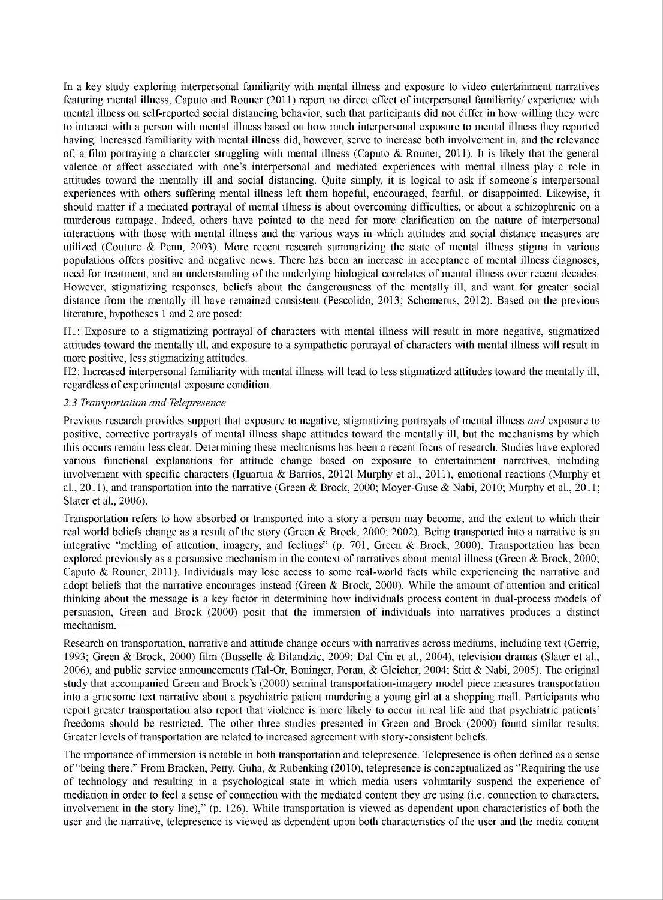In a key study exploring interpersonal familiarity with mental illness and exposure to video entertainment narratives featuring mental illness, Caputo and Rouner (2011) report no direct effect of interpersonal familiarity/ experience with mental illness on self-reported social distancing behavior, such that participants did not differ in how willing they were to interact with a person with mental illness based on how much interpersonal exposure to mental illness they reported having. Increased familiarity with mental illness did, however, serve to increase both involvement in, and the relevance of, a film portraying a character struggling with mental illness (Caputo & Rouner, 2011). It is likely that the general valence or affect associated with one's interpersonal and mediated experiences with mental illness play a role in attitudes toward the mentally ill and social distancing. Quite simply, it is logical to ask if someone's interpersonal experiences with others suffering mental illness left them hopeful, encouraged, fearful, or disappointed. Likewise, it should matter if a mediated portrayal of mental illness is about overcoming difficulties, or about a schizophrenic on a murderous rampage. Indeed, others have pointed to the need for more clarification on the nature of interpersonal interactions with those with mental illness and the various ways in which attitudes and social distance measures are utilized (Couture & Penn, 2003). More recent research summarizing the state of mental illness stigma in various populations offers positive and negative news. There has been an increase in acceptance of mental illness diagnoses, need for treatment, and an understanding of the underlying biological correlates of mental illness over recent decades. However, stigmatizing responses, beliefs about the dangerousness of the mentally ill, and want for greater social distance from the mentally ill have remained consistent (Pescolido, 2013; Schomerus, 2012). Based on the previous literature, hypotheses <sup>1</sup> and 2 are posed:

Hl: Exposure to a stigmatizing portrayal of characters with mental illness will result in more negative, stigmatized attitudes toward the mentally ill, and exposure to a sympathetic portrayal of characters with mental illness will result in more positive, less stigmatizing attitudes.

H2: Increased interpersonal familiarity with mental illness will lead to less stigmatized attitudes toward the mentally ill, regardless of experimental exposure condition.

#### *2.3 Transportation and Telepresence*

Previous research provides support that exposure to negative, stigmatizing portrayals of mental illness *and* exposure to positive, corrective portrayals of mental illness shape attitudes toward the mentally ill, but the mechanisms by which this occurs remain less clear. Determining these mechanisms has been a recent focus ofresearch. Studies have explored various functional explanations for attitude change based on exposure to entertainment narratives, including involvement with specific characters (Iguartua & Barrios, 20121 Murphy et al., 2011), emotional reactions (Murphy et al., 2011), and transportation into the narrative (Green & Brock, 2000; Moyer-Guse & Nabi, 2010; Murphy et al., 2011; Slater et al., 2006).

Transportation refers to how absorbed or transported into a story a person may become, and the extent to which their real world beliefs change as a result of the story (Green & Brock, 2000; 2002). Being transported into a narrative is an integrative "melding of attention, imagery, and feelings" (p. 701, Green & Brock, 2000). Transportation has been explored previously as a persuasive mechanism in the context of narratives about mental illness (Green & Brock, 2000; Caputo & Rouner, 2011). Individuals may lose access to some real-world facts while experiencing the narrative and adopt beliefs that the narrative encourages instead (Green & Brock, 2000). While the amount of attention and critical thinking about the message is a key factor in determining how individuals process content in dual-process models of persuasion, Green and Brock (2000) posit that the immersion of individuals into narratives produces a distinct mechanism.

Research on transportation, narrative and attitude change occurs with narratives across mediums, including text (Gerrig, 1993; Green & Brock, 2000) film (Busselle & Bilandzic, 2009; Dal Cin et al., 2004), television dramas (Slater et al., 2006), and public service announcements (Tal-Or, Boninger, Poran, & Gleicher, 2004; Stitt & Nabi, 2005). The original study that accompanied Green and Brock's (2000) seminal transportation-imagery model piece measures transportation into a gruesome text narrative about a psychiatric patient murdering a young girl at a shopping mall. Participants who report greater transportation also report that violence is more likely to occur in real life and that psychiatric patients' freedoms should be restricted. The other three studies presented in Green and Brock (2000) found similar results: Greater levels of transportation are related to increased agreement with story-consistent beliefs.

The importance of immersion is notable in both transportation and telepresence. Telepresence is often defined as a sense of "being there." From Bracken, Petty, Guha, & Rubenking (2010), telepresence is conceptualized as "Requiring the use of technology and resulting in a psychological state in which media users voluntarily suspend the experience of mediation in order to feel a sense of connection with the mediated content they are using (i.e. connection to characters, involvement in the story line)," (p. 126). While transportation is viewed as dependent upon characteristics of both the user and the narrative, telepresence is viewed as dependent upon both characteristics of the user and the media content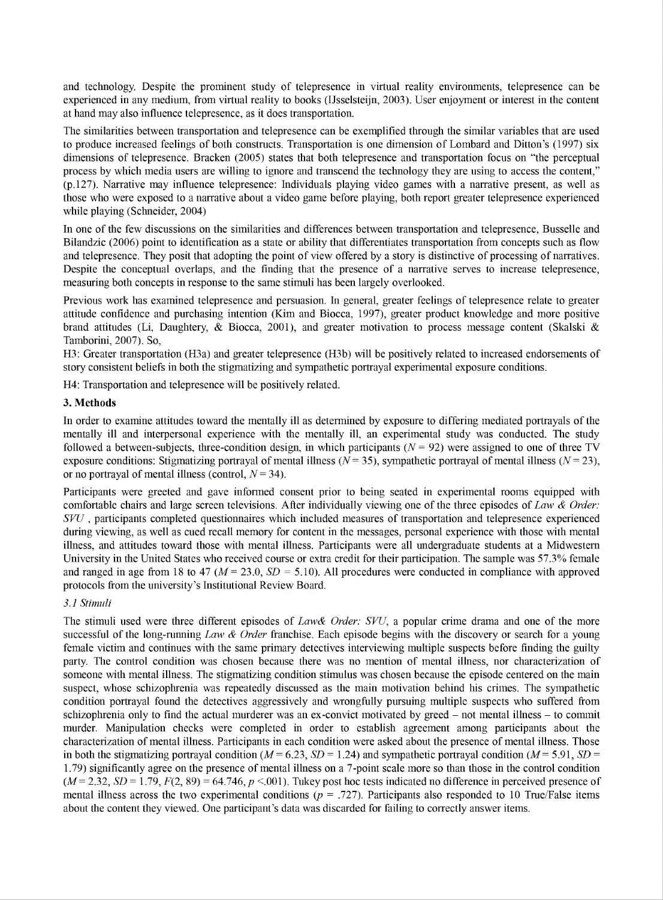and technology. Despite the prominent study of telepresence in virtual reality environments, telepresence can be experienced in any medium, from virtual reality to books (IJsselsteijn, 2003). User enjoyment or interest in the content at hand may also influence telepresence, as it does transportation.

The similarities between transportation and telepresence can be exemplified through the similar variables that are used to produce increased feelings of both constructs. Transportation is one dimension of Lombard and Ditton's (1997) six dimensions of telepresence. Bracken (2005) states that both telepresence and transportation focus on "the perceptual process by which media users are willing to ignore and transcend the technology they are using to access the content," (p.127). Narrative may influence telepresence: Individuals playing video games with a narrative present, as well as those who were exposed to a narrative about a video game before playing, both report greater telepresence experienced while playing (Schneider, 2004)

In one of the few discussions on the similarities and differences between transportation and telepresence, Busselle and Bilandzic (2006) point to identification as a state or ability that differentiates transportation from concepts such as flow and telepresence. They posit that adopting the point of view offered by a story is distinctive of processing of narratives. Despite the conceptual overlaps, and the finding that the presence of a narrative serves to increase telepresence, measuring both concepts in response to the same stimuli has been largely overlooked.

Previous work has examined telepresence and persuasion. In general, greater feelings of telepresence relate to greater attitude confidence and purchasing intention (Kim and Biocca, 1997), greater product knowledge and more positive brand attitudes (Li, Daughtery, & Biocca, 2001), and greater motivation to process message content (Skalski & Tamborini, 2007). So,

H3: Greater transportation (H3a) and greater telepresence (H3b) will be positively related to increased endorsements of story consistent beliefs in both the stigmatizing and sympathetic portrayal experimental exposure conditions.

H4: Transportation and telepresence will be positively related.

#### **3. Methods**

In order to examine attitudes toward the mentally ill as determined by exposure to differing mediated portrayals of the mentally ill and interpersonal experience with the mentally ill, an experimental study was conducted. The study followed a between-subjects, three-condition design, in which participants ( $N = 92$ ) were assigned to one of three TV exposure conditions: Stigmatizing portrayal of mental illness ( $N = 35$ ), sympathetic portrayal of mental illness ( $N = 23$ ), or no portrayal of mental illness (control, *N=* 34).

Participants were greeted and gave informed consent prior to being seated in experimental rooms equipped with comfortable chairs and large screen televisions. After individually viewing one of the three episodes of *Law & Order*: *SVU*, participants completed questionnaires which included measures of transportation and telepresence experienced during viewing, as well as cued recall memory for content in the messages, personal experience with those with mental illness, and attitudes toward those with mental illness. Participants were all undergraduate students at a Midwestern University in the United States who received course or extra credit for their participation. The sample was 57.3% female and ranged in age from 18 to 47 *(M = 23.0, SD = 5.10).* All procedures were conducted in compliance with approved protocols from the university's Institutional Review Board.

#### *3.1 Stimuli*

The stimuli used were three different episodes of *Law& Order: SVU,* a popular crime drama and one of the more successful of the long-running *Law & Order* franchise. Each episode begins with the discovery or search for a young female victim and continues with the same primary detectives interviewing multiple suspects before finding the guilty party. The control condition was chosen because there was no mention of mental illness, nor characterization of someone with mental illness. The stigmatizing condition stimulus was chosen because the episode centered on the main suspect, whose schizophrenia was repeatedly discussed as the main motivation behind his crimes. The sympathetic condition portrayal found the detectives aggressively and wrongfully pursuing multiple suspects who suffered from schizophrenia only to find the actual murderer was an ex-convict motivated by greed – not mental illness – to commit murder. Manipulation checks were completed in order to establish agreement among participants about the characterization of mental illness. Participants in each condition were asked about the presence of mental illness. Those in both the stigmatizing portrayal condition  $(M = 6.23, SD = 1.24)$  and sympathetic portrayal condition  $(M = 5.91, SD = 1.24)$ 1.79) significantly agree on the presence of mental illness on a 7-point scale more so than those in the control condition  $(M=2.32, SD=1.79, F(2, 89) = 64.746, p \le 0.001$ . Tukey post hoc tests indicated no difference in perceived presence of mental illness across the two experimental conditions  $(p = .727)$ . Participants also responded to 10 True/False items about the content they viewed. One participant's data was discarded for failing to correctly answer items.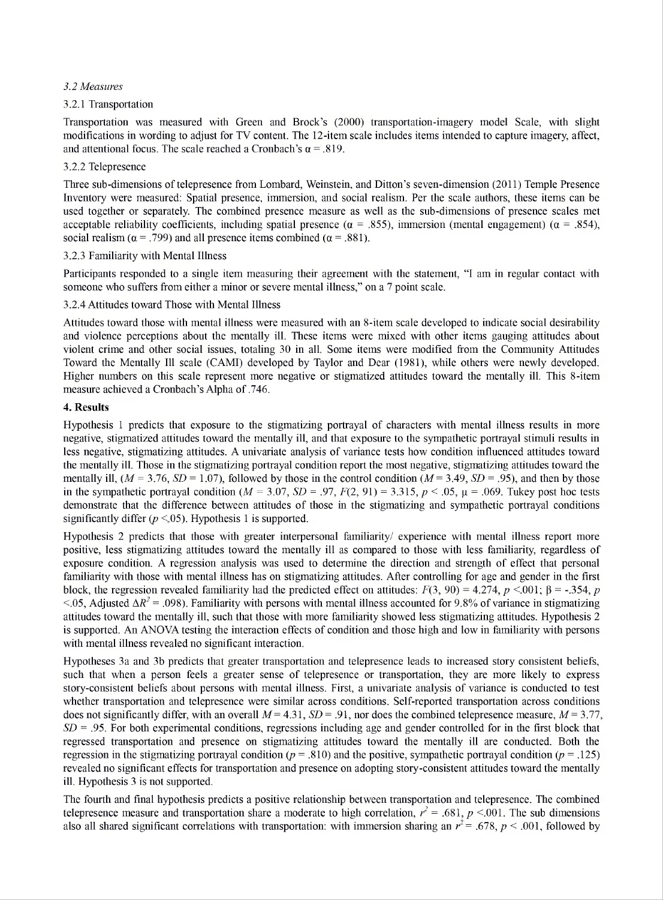#### *3.2 Measures*

#### 3.2.1 Transportation

Transportation was measured with Green and Brock's (2000) transportation-imagery model Scale, with slight modifications in wording to adjust for TV content. The 12-item scale includes items intended to capture imagery, affect, and attentional focus. The scale reached a Cronbach's  $\alpha = .819$ .

#### 3.2.2 Telepresence

Three sub-dimensions oftelepresence from Lombard, Weinstein, and Ditton's seven-dimension (2011) Temple Presence Inventory were measured: Spatial presence, immersion, and social realism. Per the scale authors, these items can be used together or separately. The combined presence measure as well as the sub-dimensions of presence scales met acceptable reliability coefficients, including spatial presence ( $\alpha$  = .855), immersion (mental engagement) ( $\alpha$  = .854), social realism ( $\alpha$  = .799) and all presence items combined ( $\alpha$  = .881).

#### 3.2.3 Familiarity with Mental Illness

Participants responded to a single item measuring their agreement with the statement, "I am in regular contact with someone who suffers from either a minor or severe mental illness," on a 7 point scale.

#### 3.2.4 Attitudes toward Those with Mental Illness

Attitudes toward those with mental illness were measured with an 8-item scale developed to indicate social desirability and violence perceptions about the mentally ill. These items were mixed with other items gauging attitudes about violent crime and other social issues, totaling 30 in all. Some items were modified from the Community Attitudes Toward the Mentally Ill scale (CAMI) developed by Taylor and Dear (1981), while others were newly developed. Higher numbers on this scale represent more negative or stigmatized attitudes toward the mentally ill. This 8-item measure achieved a Cronbach's Alpha of.746.

#### **4. Results**

Hypothesis <sup>1</sup> predicts that exposure to the stigmatizing portrayal of characters with mental illness results in more negative, stigmatized attitudes toward the mentally ill, and that exposure to the sympathetic portrayal stimuli results in less negative, stigmatizing attitudes. A univariate analysis of variance tests how condition influenced attitudes toward the mentally ill. Those in the stigmatizing portrayal condition report the most negative, stigmatizing attitudes toward the mentally ill,  $(M = 3.76, SD = 1.07)$ , followed by those in the control condition  $(M = 3.49, SD = .95)$ , and then by those in the sympathetic portrayal condition  $(M = 3.07, SD = .97, F(2, 91) = 3.315, p < .05, \mu = .069$ . Tukey post hoc tests demonstrate that the difference between attitudes of those in the stigmatizing and sympathetic portrayal conditions significantly differ  $(p \le 05)$ . Hypothesis 1 is supported.

Hypothesis 2 predicts that those with greater interpersonal familiarity/ experience with mental illness report more positive, less stigmatizing attitudes toward the mentally ill as compared to those with less familiarity, regardless of exposure condition. A regression analysis was used to determine the direction and strength of effect that personal familiarity with those with mental illness has on stigmatizing attitudes. After controlling for age and gender in the first block, the regression revealed familiarity had the predicted effect on attitudes:  $F(3, 90) = 4.274$ ,  $p < .001$ ;  $\beta = -.354$ ,  $p$  $\langle .05,$  Adjusted  $\Delta R^2 = .098$ ). Familiarity with persons with mental illness accounted for 9.8% of variance in stigmatizing attitudes toward the mentally ill, such that those with more familiarity showed less stigmatizing attitudes. Hypothesis 2 is supported. An ANOVA testing the interaction effects of condition and those high and low in familiarity with persons with mental illness revealed no significant interaction.

Hypotheses 3a and 3b predicts that greater transportation and telepresence leads to increased story consistent beliefs, such that when a person feels a greater sense of telepresence or transportation, they are more likely to express story-consistent beliefs about persons with mental illness. First, a univariate analysis of variance is conducted to test whether transportation and telepresence were similar across conditions. Self-reported transportation across conditions does not significantly differ, with an overall  $M = 4.31$ ,  $SD = .91$ , nor does the combined telepresence measure,  $M = 3.77$ , *SD = .95.* For both experimental conditions, regressions including age and gender controlled for in the first block that regressed transportation and presence on stigmatizing attitudes toward the mentally ill are conducted. Both the regression in the stigmatizing portrayal condition  $(p = .810)$  and the positive, sympathetic portrayal condition  $(p = .125)$ revealed no significant effects for transportation and presence on adopting story-consistent attitudes toward the mentally ill. Hypothesis 3 is not supported.

The fourth and final hypothesis predicts a positive relationship between transportation and telepresence. The combined telepresence measure and transportation share a moderate to high correlation,  $r^2 = .681$ ,  $p < .001$ . The sub dimensions also all shared significant correlations with transportation: with immersion sharing an  $r^2$  = .678,  $p$  < .001, followed by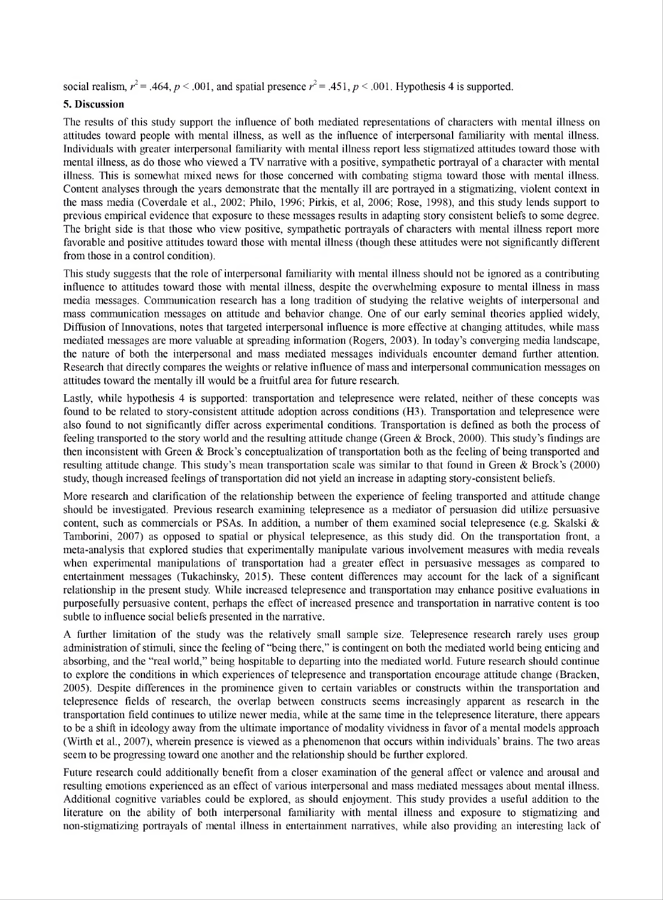social realism,  $r^2 = .464$ ,  $p < .001$ , and spatial presence  $r^2 = .451$ ,  $p < .001$ . Hypothesis 4 is supported.

#### **5. Discussion**

The results of this study support the influence of both mediated representations of characters with mental illness on attitudes toward people with mental illness, as well as the influence of interpersonal familiarity with mental illness. Individuals with greater interpersonal familiarity with mental illness report less stigmatized attitudes toward those with mental illness, as do those who viewed a TV narrative with a positive, sympathetic portrayal of a character with mental illness. This is somewhat mixed news for those concerned with combating stigma toward those with mental illness. Content analyses through the years demonstrate that the mentally ill are portrayed in a stigmatizing, violent context in the mass media (Coverdale et al., 2002; Philo, 1996; Pirkis, et al, 2006; Rose, 1998), and this study lends support to previous empirical evidence that exposure to these messages results in adapting story consistent beliefs to some degree. The bright side is that those who view positive, sympathetic portrayals of characters with mental illness report more favorable and positive attitudes toward those with mental illness (though these attitudes were not significantly different from those in a control condition).

This study suggests that the role of interpersonal familiarity with mental illness should not be ignored as a contributing influence to attitudes toward those with mental illness, despite the overwhelming exposure to mental illness in mass media messages. Communication research has a long tradition of studying the relative weights of interpersonal and mass communication messages on attitude and behavior change. One of our early seminal theories applied widely, Diffusion of Innovations, notes that targeted interpersonal influence is more effective at changing attitudes, while mass mediated messages are more valuable at spreading information (Rogers, 2003). In today's converging media landscape, the nature of both the interpersonal and mass mediated messages individuals encounter demand further attention. Research that directly compares the weights or relative influence of mass and interpersonal communication messages on attitudes toward the mentally ill would be a fruitful area for future research.

Lastly, while hypothesis 4 is supported: transportation and telepresence were related, neither of these concepts was found to be related to story-consistent attitude adoption across conditions (H3). Transportation and telepresence were also found to not significantly differ across experimental conditions. Transportation is defined as both the process of feeling transported to the story world and the resulting attitude change (Green & Brock, 2000). This study's findings are then inconsistent with Green  $\&$  Brock's conceptualization of transportation both as the feeling of being transported and resulting attitude change. This study's mean transportation scale was similar to that found in Green & Brock's (2000) study, though increased feelings of transportation did not yield an increase in adapting story-consistent beliefs.

More research and clarification of the relationship between the experience of feeling transported and attitude change should be investigated. Previous research examining telepresence as a mediator of persuasion did utilize persuasive content, such as commercials or PSAs. In addition, a number of them examined social telepresence (e.g. Skalski & Tamborini, 2007) as opposed to spatial or physical telepresence, as this study did. On the transportation front, a meta-analysis that explored studies that experimentally manipulate various involvement measures with media reveals when experimental manipulations of transportation had a greater effect in persuasive messages as compared to entertainment messages (Tukachinsky, 2015). These content differences may account for the lack of a significant relationship in the present study. While increased telepresence and transportation may enhance positive evaluations in purposefully persuasive content, perhaps the effect of increased presence and transportation in narrative content is too subtle to influence social beliefs presented in the narrative.

A further limitation of the study was the relatively small sample size. Telepresence research rarely uses group administration of stimuli, since the feeling of "being there," is contingent on both the mediated world being enticing and absorbing, and the "real world," being hospitable to departing into the mediated world. Future research should continue to explore the conditions in which experiences of telepresence and transportation encourage attitude change (Bracken, 2005). Despite differences in the prominence given to certain variables or constructs within the transportation and telepresence fields of research, the overlap between constructs seems increasingly apparent as research in the transportation field continues to utilize newer media, while at the same time in the telepresence literature, there appears to be a shift in ideology away from the ultimate importance of modality vividness in favor of a mental models approach (Wirth et al., 2007), wherein presence is viewed as a phenomenon that occurs within individuals' brains. The two areas seem to be progressing toward one another and the relationship should be further explored.

Future research could additionally benefit from a closer examination of the general affect or valence and arousal and resulting emotions experienced as an effect of various interpersonal and mass mediated messages about mental illness. Additional cognitive variables could be explored, as should enjoyment. This study provides a useful addition to the literature on the ability of both interpersonal familiarity with mental illness and exposure to stigmatizing and non-stigmatizing portrayals of mental illness in entertainment narratives, while also providing an interesting lack of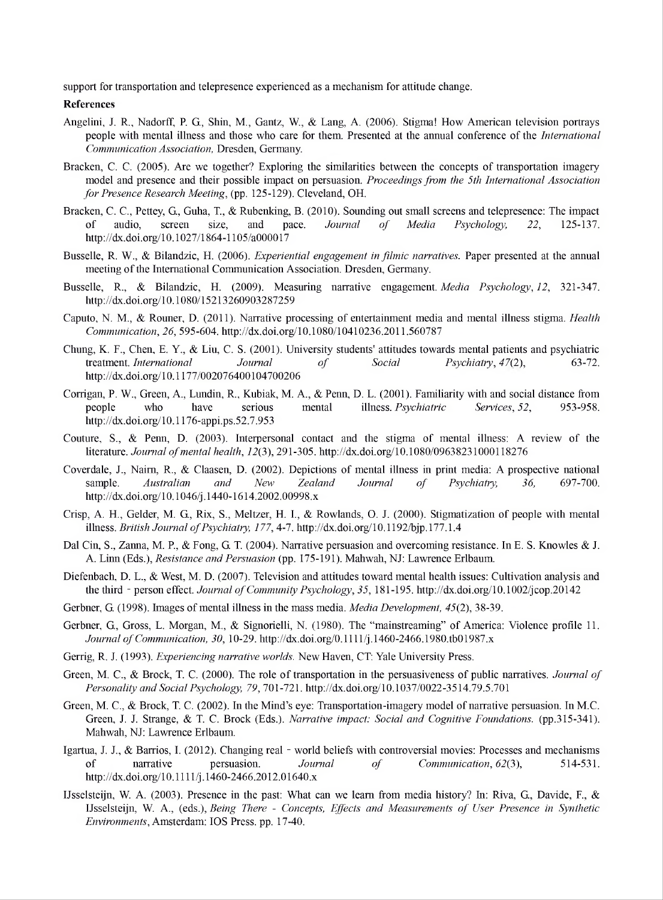support for transportation and telepresence experienced as a mechanism for attitude change.

#### **References**

- Angelini, J. R., Nadorff, P. G., Shin, M., Gantz, W., & Lang, A. (2006). Stigma! How American television portrays people with mental illness and those who care for them. Presented at the annual conference of the *International Communication Association,* Dresden, Germany.
- Bracken, C. C. (2005). Are we together? Exploring the similarities between the concepts of transportation imagery model and presence and their possible impact on persuasion. *Proceedingsfrom the 5th International Association for Presence Research Meeting,* (pp. 125-129). Cleveland, OH.
- Bracken, C. C., Pettey, G., Guha, T., & Rubenking, B. (2010). Sounding out small screens and telepresence: The impact of audio. screen size. and pace. Journal of Media Psychology. 22. 125-137. of audio, screen size, and pace. *Journal of Media Psychology', 22,* 125-137. http<://dx.doi.org/l> 0.1027/1864-1105/a000017
- Busselle, R. W., & Bilandzic, H. (2006). *Experiential engagement in filmic narratives.* Paper presented at the annual meeting of the International Communication Association. Dresden, Germany.
- Busselle, R., & Bilandzic, H. (2009). Measuring narrative engagement. *Media Psychology, 12,* 321-347. <http://dx.doi.org/10.1080/15213260903287259>
- Caputo, N. M., & Rouner, D. (2011). Narrative processing of entertainment media and mental illness stigma. *Health Communication, 26,* 595-604. <http://dx.doi.org/10.1080/10410236.2011.560787>
- Chung, K. F., Chen, E. Y., & Liu, C. S. (2001). University students' attitudes towards mental patients and psychiatric treatment. *International Journal of Social Psychiatry, 47(2),* 63-72. <http://dx.doi.Org/l> 0.1177/002076400104700206
- Corrigan, P. W., Green, A., Lundin, R., Kubiak, M. A., & Penn, D. L. (2001). Familiarity with and social distance from people who have serious mental illness. *Psychiatric Services, 52,* 953-958. <http://dx.doi.Org/10.1176-appi.ps.52.7.953>
- Couture, S., & Penn, D. (2003). Interpersonal contact and the stigma of mental illness: A review of the literature. *Journal ofmental health, 12(3),* 291-305. <http://dx.doi.org/10.1080/09638231000118276>
- Coverdale, J., Naim, R., & Claasen, D. (2002). Depictions of mental illness in print media: A prospective national sample. *Australian and New Zealand Journal of Psychiatry, 36,* 697-700. <http://dx.d0i.0rg/l> 0.1046/j.1440-1614.2002.00998.x
- Crisp, A. H., Gelder, M. G., Rix, S., Meltzer, H. I., & Rowlands, O. J. (2000). Stigmatization of people with mental illness. *British Journal ofPsychiatry', 177,* 4-7. <http://dx.doi.org/10.1192/bjp.177.L4>
- Dal Cin, S., Zanna, M. P., & Fong, G. T. (2004). Narrative persuasion and overcoming resistance. In E. S. Knowles & J. A. Linn (Eds.), *Resistance and Persuasion* (pp. 175-191). Mahwah, NJ: Lawrence Erlbaum.
- Diefenbach, D. L., & West, M. D. (2007). Television and attitudes toward mental health issues: Cultivation analysis and the third - person effect. *Journal ofCommunity Psychology, 35,* 181-195. <http://dx.doi.org/10.1002/jcop.20142>
- Gerbner, G. (1998). Images of mental illness in the mass media. *Media Development, 45(2),* 38-39.
- Gerbner, G., Gross, L. Morgan, M., & Signorielli, N. (1980). The "mainstreaming" of America: Violence profile 11. *Journal ofCommunication, 30,* 10-29. <http://dx.doi.Org/0.llll/j.1460-2466.1980.tb01987.x>
- Gerrig, R. J. (1993). *Experiencing narrative worlds.* New Haven, CT: Yale University Press.
- Green, M. C., & Brock, T. C. (2000). The role of transportation in the persuasiveness of public narratives. *Journal of Personality and Social Psychology, 79,* 701-721. <http://dx.doi.Org/10.1037/0022-3514.79.5.701>
- Green, M. C., & Brock, T. C. (2002). In the Mind's eye: Transportation-imagery model of narrative persuasion. In M.C. Green, J. J. Strange, & T. C. Brock (Eds.). *Narrative impact: Social and Cognitive Foundations,* (pp.315-341). Mahwah, NJ: Lawrence Erlbaum.
- Igartua, J. J., & Barrios, I. (2012). Changing real world beliefs with controversial movies: Processes and mechanisms of narrative persuasion. Journal of Communication, 62(3), 514-531. of narrative persuasion. *Journal of Communication, 62(3),* 514-531. <http://dx.doi.Org/10.llll/j.1460-2466.2012.01640.x>
- IJsselsteijn, W. A. (2003). Presence in the past: What can we learn from media history? In: Riva, G., Davide, F., & IJsselsteijn, W. A., (eds.), *Being There - Concepts, Effects and Measurements of User Presence in Synthetic Environments,* Amsterdam: IOS Press, pp. 17-40.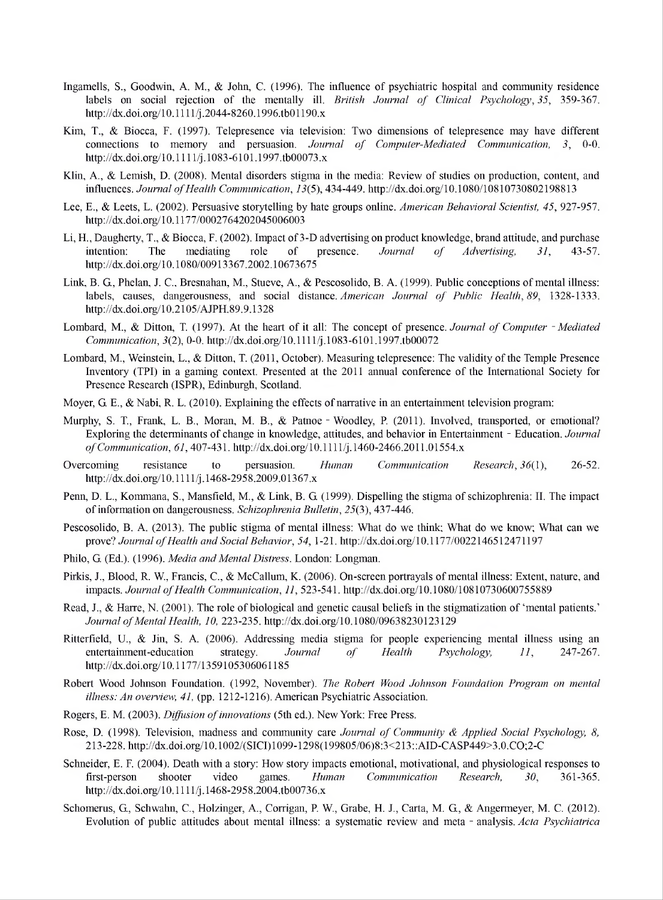- Ingamells, S., Goodwin, A. M., & John, C. (1996). The influence of psychiatric hospital and community residence labels on social rejection of the mentally ill. *British Journal of Clinical Psychology, 35,* 359-367. <http://dx.doi.Org/10.llll/j.2044-8260.1996.tb01190.x>
- Kim, T., & Biocca, F. (1997). Telepresence via television: Two dimensions of telepresence may have different connections to memory and persuasion. *Journal of Computer-Mediated Communication, 3,* 0-0. <http://dx.doi.Org/10.llll/j.1083-6101.1997.tb00073.x>
- Klin, A., & Lemish, D. (2008). Mental disorders stigma in the media: Review of studies on production, content, and influences. *JournalofHealth Communication, 13(5),* 434-449. <http://dx.doi.org/10.1080/10810730802198813>
- Lee, E., & Leets, L. (2002). Persuasive storytelling by hate groups online. *American Behavioral Scientist, 45,* 927-957. <http://dx.doi.org/10.1177/0002764202045006003>
- Li, H., Daugherty, T., & Biocca, F. (2002). Impact of 3-D advertising on product knowledge, brand attitude, and purchase intention: The mediating role of presence. *Journal of Advertising*, 31, 43-57. intention: The mediating role of presence. *Journal of Advertising, 31,* 43-57. <http://dx.doi.org/10.1080/00913367.2002.10673675>
- Link, B. G., Phelan, J. C., Bresnahan, M., Stueve, A., & Pescosolido, B. A. (1999). Public conceptions of mental illness: labels, causes, dangerousness, and social distance. *American Journal of Public Health, 89,* 1328-1333. <http://dx.doi.Org/10.2105/AJPH.89.9.1328>
- Lombard, M., & Ditton, T. (1997). At the heart of it all: The concept of presence. *Journal of Computer -Mediated Communication, 3(2),* 0-0. <http://dx.doi.Org/10.llll/j.1083-6101.1997.tb00072>
- Lombard, M., Weinstein, L., & Ditton, T. (2011, October). Measuring telepresence: The validity of the Temple Presence Inventory (TPI) in a gaming context. Presented at the 2011 annual conference of the International Society for Presence Research (ISPR), Edinburgh, Scotland.
- Moyer, G. E., & Nabi, R. L. (2010). Explaining the effects of narrative in an entertainment television program:
- Murphy, S. T., Frank, L. B., Moran, M. B., & Patnoe Woodley, P. (2011). Involved, transported, or emotional? Exploring the determinants of change in knowledge, attitudes, and behavior in Entertainment - Education. *Journal ofCommunication, 61,* 407-431. <http://dx.doi.Org/10.llll/j.1460-2466.2011.01554.x>
- Overcoming resistance to persuasion. *Human Communication Research, 36(1),* 26-52. http://dx.doi.org/10.1111/j.1468-2958.2009.01367.x
- Penn, D. L., Kommana, S., Mansfield, M., & Link, B. G. (1999). Dispelling the stigma ofschizophrenia: II. The impact ofinformation on dangerousness. *Schizophrenia Bulletin,* 25(3), 437-446.
- Pescosolido, B. A. (2013). The public stigma of mental illness: What do we think; What do we know; What can we prove? *Journal of Health and Social Behavior, 54,* 1-21. <http://dx.doi.org/10.1177/0022146512471197>
- Philo, G. (Ed.). (1996). *Media and Mental Distress.* London: Longman.
- Pirkis, J., Blood, R. W., Francis, C., & McCallum, K. (2006). On-screen portrayals of mental illness: Extent, nature, and impacts. *Journal of Health Communication, 11,* 523-541. <http://dx.doi.org/10.1080/10810730600755889>
- Read, J., & Harre, N. (2001). The role of biological and genetic causal beliefs in the stigmatization of 'mental patients.' *Journal ofMental Health, 10,* 223-235. <http://dx.doi.org/10.1080/09638230123129>
- Ritterfield, U., & Jin, S. A. (2006). Addressing media stigma for people experiencing mental illness using an entertainment-education strategy. *Journal of Health Psychology, 11,* 247-267. <http://dx.doi.org/10.1177/1359105306061185>
- Robert Wood Johnson Foundation. (1992, November). *The Robert Wood Johnson Foundation Program on mental illness: An overview, 41,* (pp. 1212-1216). American Psychiatric Association.
- Rogers, E. M. (2003). *Diffusion ofinnovations* (5th ed.). New York: Free Press.
- Rose, D. (1998). Television, madness and community care *Journal of Community & Applied Social Psychology, 8,* 213-228. [http://dx.doi.org/10.1002/\(SICI\)1099-1298\(199805/06\)8:3<213::AID-CASP449>3.0.CO;2-C](http://dx.doi.org/10.1002/%28SICI%291099-1298%28199805/06%298:3%253c213::AID-CASP449%253e3.0.CO%3B2-C)
- Schneider, E. F. (2004). Death with a story: How story impacts emotional, motivational, and physiological responses to first-person shooter video games. *Human Communication Research, 30,* 361-365. <http://dx.d0i.0rg/l>0.1111/j. 1468-2958.2004.tb00736.x
- Schomerus, G., Schwahn, C., Holzinger, A., Corrigan, P. W., Grabe, H. J., Carta, M. G., & Angermeyer, M. C. (2012). Evolution of public attitudes about mental illness: a systematic review and meta - analysis. *Acta Psychiatrica*